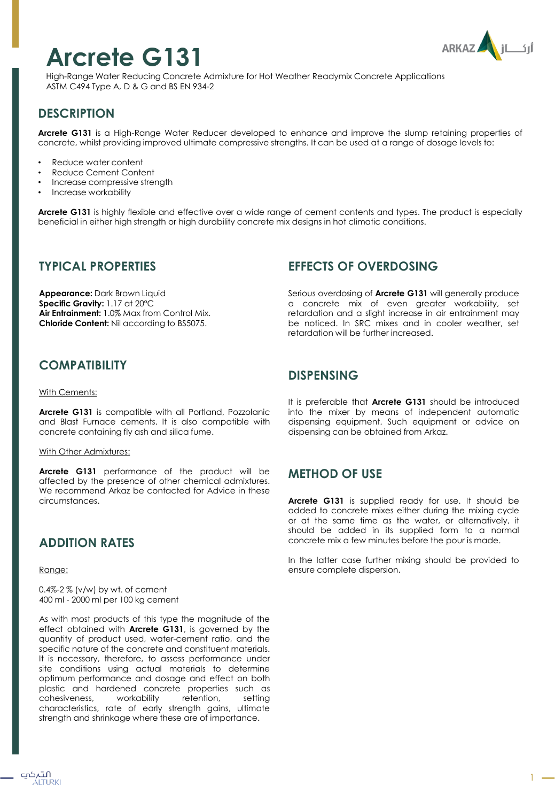# **Arcrete G131**



High-Range Water Reducing Concrete Admixture for Hot Weather Readymix Concrete Applications ASTM C494 Type A, D & G and BS EN 934-2

# **DESCRIPTION**

**Arcrete G131** is a High-Range Water Reducer developed to enhance and improve the slump retaining properties of concrete, whilst providing improved ultimate compressive strengths. It can be used at a range of dosage levels to:

- Reduce water content
- Reduce Cement Content
- Increase compressive strength
- Increase workability

**Arcrete G131** is highly flexible and effective over a wide range of cement contents and types. The product is especially beneficial in either high strength or high durability concrete mix designs in hot climatic conditions.

#### **TYPICAL PROPERTIES**

**Appearance:** Dark Brown Liquid **Specific Gravity:** 1.17 at 20ºC **Air Entrainment:** 1.0% Max from Control Mix. **Chloride Content:** Nil according to BS5075.

## **COMPATIBILITY**

#### With Cements:

**Arcrete G131** is compatible with all Portland, Pozzolanic and Blast Furnace cements. It is also compatible with concrete containing fly ash and silica fume.

#### With Other Admixtures:

**Arcrete G131** performance of the product will be affected by the presence of other chemical admixtures. We recommend Arkaz be contacted for Advice in these circumstances.

## **ADDITION RATES**

Range:

0.4%-2 % (v/w) by wt. of cement 400 ml - 2000 ml per 100 kg cement

As with most products of this type the magnitude of the effect obtained with **Arcrete G131**, is governed by the quantity of product used, water-cement ratio, and the specific nature of the concrete and constituent materials. It is necessary, therefore, to assess performance under site conditions using actual materials to determine optimum performance and dosage and effect on both plastic and hardened concrete properties such as cohesiveness, workability retention, setting characteristics, rate of early strength gains, ultimate strength and shrinkage where these are of importance.

## **EFFECTS OF OVERDOSING**

Serious overdosing of **Arcrete G131** will generally produce a concrete mix of even greater workability, set retardation and a slight increase in air entrainment may be noticed. In SRC mixes and in cooler weather, set retardation will be further increased.

#### **DISPENSING**

It is preferable that **Arcrete G131** should be introduced into the mixer by means of independent automatic dispensing equipment. Such equipment or advice on dispensing can be obtained from Arkaz.

## **METHOD OF USE**

**Arcrete G131** is supplied ready for use. It should be added to concrete mixes either during the mixing cycle or at the same time as the water, or alternatively, it should be added in its supplied form to a normal concrete mix a few minutes before the pour is made.

In the latter case further mixing should be provided to ensure complete dispersion.

1